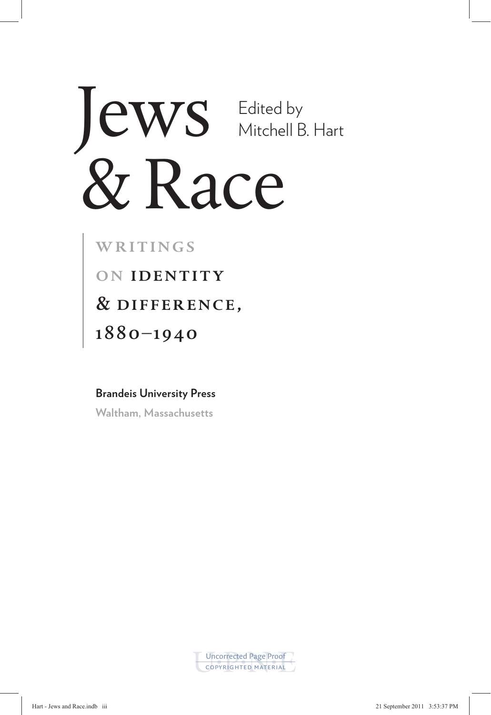# Jews & Race Edited by Mitchell B. Hart

# **WRITINGS**

ON IDENTITY & DIFFERENCE, 1880–1940

### **Brandeis University Press**

**Waltham, Massachusetts**

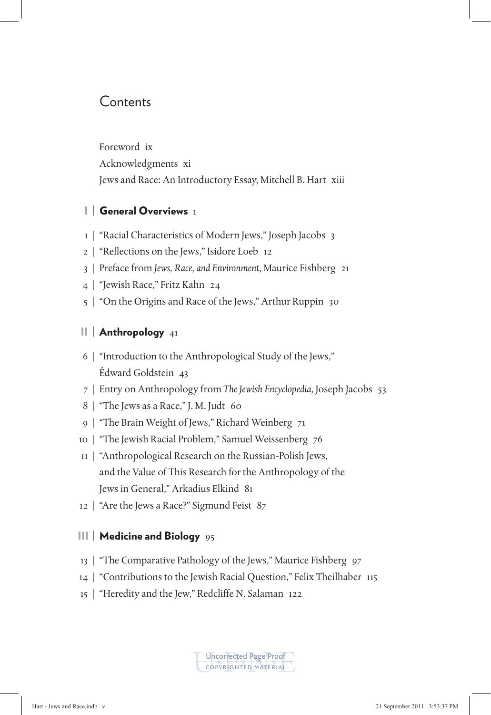## **Contents**

 Foreword ix Acknowledgments xi Jews and Race: An Introductory Essay, Mitchell B. Hart xiii

#### I | General Overviews 1

- 1 | "Racial Characteristics of Modern Jews," Joseph Jacobs 3
- 2 | "Reflections on the Jews," Isidore Loeb 12
- 3 | Preface from *Jews, Race, and Environment*, Maurice Fishberg 21
- 4 | "Jewish Race," Fritz Kahn 24
- 5 | "On the Origins and Race of the Jews," Arthur Ruppin 30

#### $||$  | Anthropology  $41$

- 6 | "Introduction to the Anthropological Study of the Jews," Édward Goldstein 43
- 7 | Entry on Anthropology from *The Jewish Encyclopedia*, Joseph Jacobs 53
- 8 | "The Jews as a Race," J. M. Judt 60
- 9 | "The Brain Weight of Jews," Richard Weinberg 71
- 10 | "The Jewish Racial Problem," Samuel Weissenberg 76
- 11 | "Anthropological Research on the Russian-Polish Jews, and the Value of This Research for the Anthropology of the Jews in General," Arkadius Elkind 81
- 12 | "Are the Jews a Race?" Sigmund Feist 87

#### III | Medicine and Biology 95

- 13 | "The Comparative Pathology of the Jews," Maurice Fishberg 97
- 14 | "Contributions to the Jewish Racial Question," Felix Theilhaber 115
- $15$  | "Heredity and the Jew," Redcliffe N. Salaman  $122$

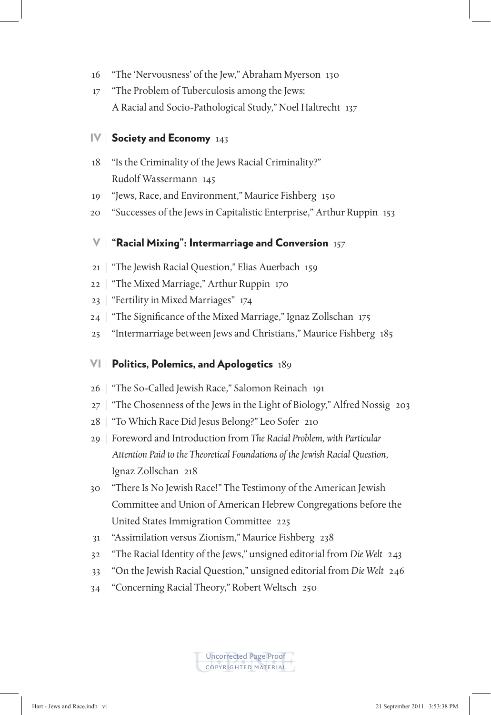- 16 | "The 'Nervousness' of the Jew," Abraham Myerson 130
- 17 | "The Problem of Tuberculosis among the Jews: A Racial and Socio-Pathological Study," Noel Haltrecht 137

#### IV | Society and Economy 143

- 18 | "Is the Criminality of the Jews Racial Criminality?" Rudolf Wassermann 145
- 19 | "Jews, Race, and Environment," Maurice Fishberg 150
- 20 | "Successes of the Jews in Capitalistic Enterprise," Arthur Ruppin 153

#### $V \mid$  "Racial Mixing": Intermarriage and Conversion 157

- 21 | "The Jewish Racial Question," Elias Auerbach 159
- 22 | "The Mixed Marriage," Arthur Ruppin 170
- 23 | "Fertility in Mixed Marriages" 174
- $24$  | "The Significance of the Mixed Marriage," Ignaz Zollschan 175
- 25 | "Intermarriage between Jews and Christians," Maurice Fishberg 185

#### VI | Politics, Polemics, and Apologetics 189

- 26 | "The So-Called Jewish Race," Salomon Reinach 191
- 27 | "The Chosenness of the Jews in the Light of Biology," Alfred Nossig 203
- 28 | "To Which Race Did Jesus Belong?" Leo Sofer 210
- 29 | Foreword and Introduction from *The Racial Problem, with Particular Attention Paid to the Theoretical Foundations of the Jewish Racial Question*, Ignaz Zollschan 218
- 30 | "There Is No Jewish Race!" The Testimony of the American Jewish Committee and Union of American Hebrew Congregations before the United States Immigration Committee 225
- 31 | "Assimilation versus Zionism," Maurice Fishberg 238
- 32 | "The Racial Identity of the Jews," unsigned editorial from *Die Welt* 243
- 33 | "On the Jewish Racial Question," unsigned editorial from *Die Welt* 246
- 34 | "Concerning Racial Theory," Robert Weltsch 250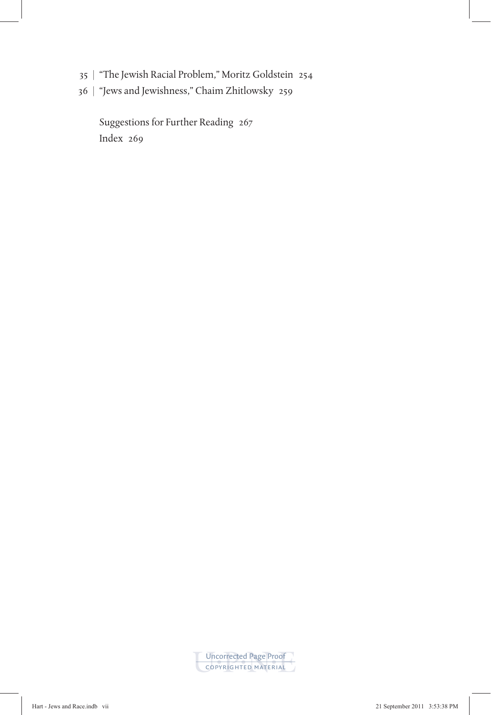- 35 | "The Jewish Racial Problem," Moritz Goldstein 254
- 36 | "Jews and Jewishness," Chaim Zhitlowsky 259

 Suggestions for Further Reading 267 Index 269

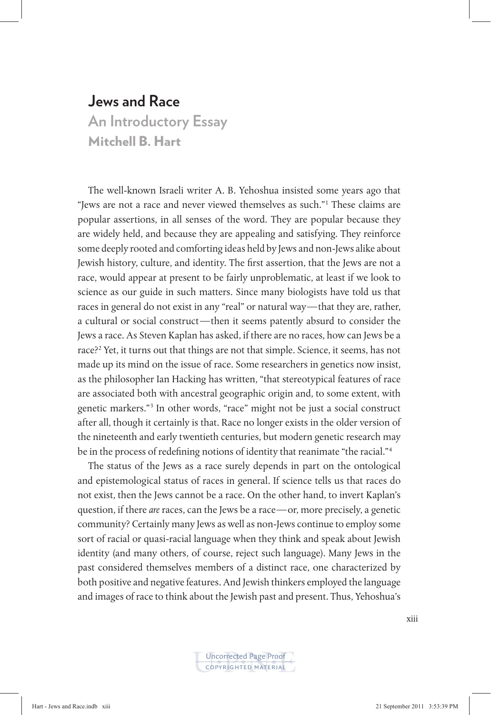# **Jews and Race**

**An Introductory Essay** Mitchell B. Hart

The well-known Israeli writer A. B. Yehoshua insisted some years ago that "Jews are not a race and never viewed themselves as such."1 These claims are popular assertions, in all senses of the word. They are popular because they are widely held, and because they are appealing and satisfying. They reinforce some deeply rooted and comforting ideas held by Jews and non-Jews alike about Jewish history, culture, and identity. The first assertion, that the Jews are not a race, would appear at present to be fairly unproblematic, at least if we look to science as our guide in such matters. Since many biologists have told us that races in general do not exist in any "real" or natural way—that they are, rather, a cultural or social construct—then it seems patently absurd to consider the Jews a race. As Steven Kaplan has asked, if there are no races, how can Jews be a race?<sup>2</sup> Yet, it turns out that things are not that simple. Science, it seems, has not made up its mind on the issue of race. Some researchers in genetics now insist, as the philosopher Ian Hacking has written, "that stereotypical features of race are associated both with ancestral geographic origin and, to some extent, with genetic markers."3 In other words, "race" might not be just a social construct after all, though it certainly is that. Race no longer exists in the older version of the nineteenth and early twentieth centuries, but modern genetic research may be in the process of redefining notions of identity that reanimate "the racial."<sup>4</sup>

The status of the Jews as a race surely depends in part on the ontological and epistemological status of races in general. If science tells us that races do not exist, then the Jews cannot be a race. On the other hand, to invert Kaplan's question, if there *are* races, can the Jews be a race—or, more precisely, a genetic community? Certainly many Jews as well as non-Jews continue to employ some sort of racial or quasi-racial language when they think and speak about Jewish identity (and many others, of course, reject such language). Many Jews in the past considered themselves members of a distinct race, one characterized by both positive and negative features. And Jewish thinkers employed the language and images of race to think about the Jewish past and present. Thus, Yehoshua's

xiii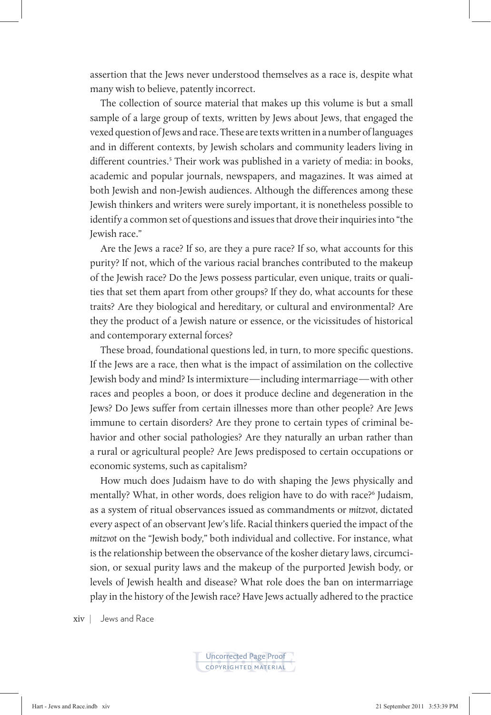assertion that the Jews never understood themselves as a race is, despite what many wish to believe, patently incorrect.

The collection of source material that makes up this volume is but a small sample of a large group of texts, written by Jews about Jews, that engaged the vexed question of Jews and race. These are texts written in a number of languages and in different contexts, by Jewish scholars and community leaders living in different countries.<sup>5</sup> Their work was published in a variety of media: in books, academic and popular journals, newspapers, and magazines. It was aimed at both Jewish and non-Jewish audiences. Although the differences among these Jewish thinkers and writers were surely important, it is nonetheless possible to identify a common set of questions and issues that drove their inquiries into "the Jewish race."

Are the Jews a race? If so, are they a pure race? If so, what accounts for this purity? If not, which of the various racial branches contributed to the makeup of the Jewish race? Do the Jews possess particular, even unique, traits or qualities that set them apart from other groups? If they do, what accounts for these traits? Are they biological and hereditary, or cultural and environmental? Are they the product of a Jewish nature or essence, or the vicissitudes of historical and contemporary external forces?

These broad, foundational questions led, in turn, to more specific questions. If the Jews are a race, then what is the impact of assimilation on the collective Jewish body and mind? Is intermixture—including intermarriage—with other races and peoples a boon, or does it produce decline and degeneration in the Jews? Do Jews suffer from certain illnesses more than other people? Are Jews immune to certain disorders? Are they prone to certain types of criminal behavior and other social pathologies? Are they naturally an urban rather than a rural or agricultural people? Are Jews predisposed to certain occupations or economic systems, such as capitalism?

How much does Judaism have to do with shaping the Jews physically and mentally? What, in other words, does religion have to do with race?6 Judaism, as a system of ritual observances issued as commandments or *mitzvot*, dictated every aspect of an observant Jew's life. Racial thinkers queried the impact of the *mitzvot* on the "Jewish body," both individual and collective. For instance, what is the relationship between the observance of the kosher dietary laws, circumcision, or sexual purity laws and the makeup of the purported Jewish body, or levels of Jewish health and disease? What role does the ban on intermarriage play in the history of the Jewish race? Have Jews actually adhered to the practice

xiv | Jews and Race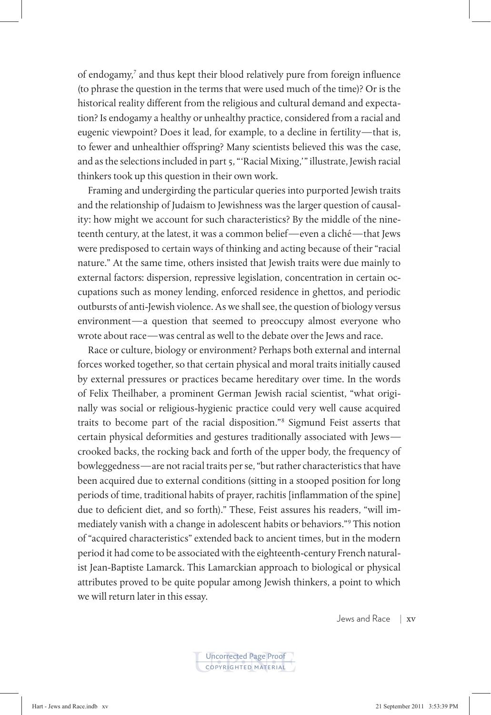of endogamy,<sup>7</sup> and thus kept their blood relatively pure from foreign influence (to phrase the question in the terms that were used much of the time)? Or is the historical reality different from the religious and cultural demand and expectation? Is endogamy a healthy or unhealthy practice, considered from a racial and eugenic viewpoint? Does it lead, for example, to a decline in fertility—that is, to fewer and unhealthier offspring? Many scientists believed this was the case, and as the selections included in part 5, " 'Racial Mixing,' " illustrate, Jewish racial thinkers took up this question in their own work.

Framing and undergirding the particular queries into purported Jewish traits and the relationship of Judaism to Jewishness was the larger question of causality: how might we account for such characteristics? By the middle of the nineteenth century, at the latest, it was a common belief—even a cliché—that Jews were predisposed to certain ways of thinking and acting because of their "racial nature." At the same time, others insisted that Jewish traits were due mainly to external factors: dispersion, repressive legislation, concentration in certain occupations such as money lending, enforced residence in ghettos, and periodic outbursts of anti-Jewish violence. As we shall see, the question of biology versus environment—a question that seemed to preoccupy almost everyone who wrote about race—was central as well to the debate over the Jews and race.

Race or culture, biology or environment? Perhaps both external and internal forces worked together, so that certain physical and moral traits initially caused by external pressures or practices became hereditary over time. In the words of Felix Theilhaber, a prominent German Jewish racial scientist, "what originally was social or religious-hygienic practice could very well cause acquired traits to become part of the racial disposition."8 Sigmund Feist asserts that certain physical deformities and gestures traditionally associated with Jews crooked backs, the rocking back and forth of the upper body, the frequency of bowleggedness—are not racial traits per se, "but rather characteristics that have been acquired due to external conditions (sitting in a stooped position for long periods of time, traditional habits of prayer, rachitis [inflammation of the spine] due to deficient diet, and so forth)." These, Feist assures his readers, "will immediately vanish with a change in adolescent habits or behaviors."9 This notion of "acquired characteristics" extended back to ancient times, but in the modern period it had come to be associated with the eighteenth-century French naturalist Jean-Baptiste Lamarck. This Lamarckian approach to biological or physical attributes proved to be quite popular among Jewish thinkers, a point to which we will return later in this essay.

Jews and Race | xv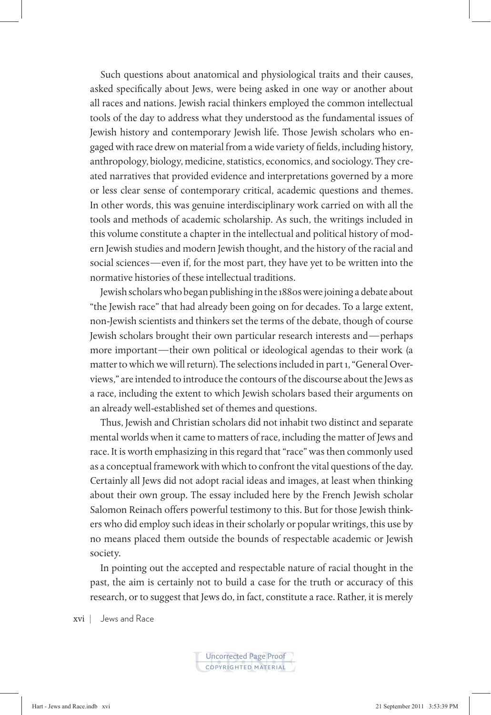Such questions about anatomical and physiological traits and their causes, asked specifically about Jews, were being asked in one way or another about all races and nations. Jewish racial thinkers employed the common intellectual tools of the day to address what they understood as the fundamental issues of Jewish history and contemporary Jewish life. Those Jewish scholars who engaged with race drew on material from a wide variety of fields, including history, anthropology, biology, medicine, statistics, economics, and sociology. They created narratives that provided evidence and interpretations governed by a more or less clear sense of contemporary critical, academic questions and themes. In other words, this was genuine interdisciplinary work carried on with all the tools and methods of academic scholarship. As such, the writings included in this volume constitute a chapter in the intellectual and political history of modern Jewish studies and modern Jewish thought, and the history of the racial and social sciences—even if, for the most part, they have yet to be written into the normative histories of these intellectual traditions.

Jewish scholars who began publishing in the 1880s were joining a debate about "the Jewish race" that had already been going on for decades. To a large extent, non-Jewish scientists and thinkers set the terms of the debate, though of course Jewish scholars brought their own particular research interests and—perhaps more important—their own political or ideological agendas to their work (a matter to which we will return). The selections included in part 1, "General Overviews," are intended to introduce the contours of the discourse about the Jews as a race, including the extent to which Jewish scholars based their arguments on an already well-established set of themes and questions.

Thus, Jewish and Christian scholars did not inhabit two distinct and separate mental worlds when it came to matters of race, including the matter of Jews and race. It is worth emphasizing in this regard that "race" was then commonly used as a conceptual framework with which to confront the vital questions of the day. Certainly all Jews did not adopt racial ideas and images, at least when thinking about their own group. The essay included here by the French Jewish scholar Salomon Reinach offers powerful testimony to this. But for those Jewish thinkers who did employ such ideas in their scholarly or popular writings, this use by no means placed them outside the bounds of respectable academic or Jewish society.

In pointing out the accepted and respectable nature of racial thought in the past, the aim is certainly not to build a case for the truth or accuracy of this research, or to suggest that Jews do, in fact, constitute a race. Rather, it is merely

xvi | Jews and Race

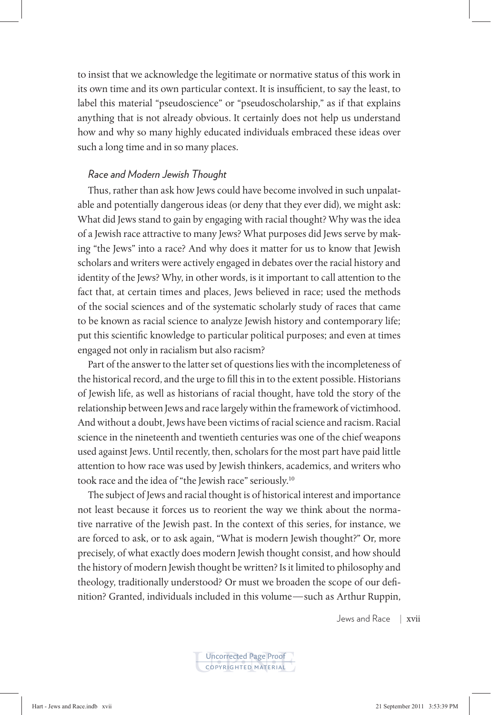to insist that we acknowledge the legitimate or normative status of this work in its own time and its own particular context. It is insufficient, to say the least, to label this material "pseudoscience" or "pseudoscholarship," as if that explains anything that is not already obvious. It certainly does not help us understand how and why so many highly educated individuals embraced these ideas over such a long time and in so many places.

#### *Race and Modern Jewish Thought*

Thus, rather than ask how Jews could have become involved in such unpalatable and potentially dangerous ideas (or deny that they ever did), we might ask: What did Jews stand to gain by engaging with racial thought? Why was the idea of a Jewish race attractive to many Jews? What purposes did Jews serve by making "the Jews" into a race? And why does it matter for us to know that Jewish scholars and writers were actively engaged in debates over the racial history and identity of the Jews? Why, in other words, is it important to call attention to the fact that, at certain times and places, Jews believed in race; used the methods of the social sciences and of the systematic scholarly study of races that came to be known as racial science to analyze Jewish history and contemporary life; put this scientific knowledge to particular political purposes; and even at times engaged not only in racialism but also racism?

Part of the answer to the latter set of questions lies with the incompleteness of the historical record, and the urge to fill this in to the extent possible. Historians of Jewish life, as well as historians of racial thought, have told the story of the relationship between Jews and race largely within the framework of victimhood. And without a doubt, Jews have been victims of racial science and racism. Racial science in the nineteenth and twentieth centuries was one of the chief weapons used against Jews. Until recently, then, scholars for the most part have paid little attention to how race was used by Jewish thinkers, academics, and writers who took race and the idea of "the Jewish race" seriously.10

The subject of Jews and racial thought is of historical interest and importance not least because it forces us to reorient the way we think about the normative narrative of the Jewish past. In the context of this series, for instance, we are forced to ask, or to ask again, "What is modern Jewish thought?" Or, more precisely, of what exactly does modern Jewish thought consist, and how should the history of modern Jewish thought be written? Is it limited to philosophy and theology, traditionally understood? Or must we broaden the scope of our definition? Granted, individuals included in this volume—such as Arthur Ruppin,

Jews and Race | xvii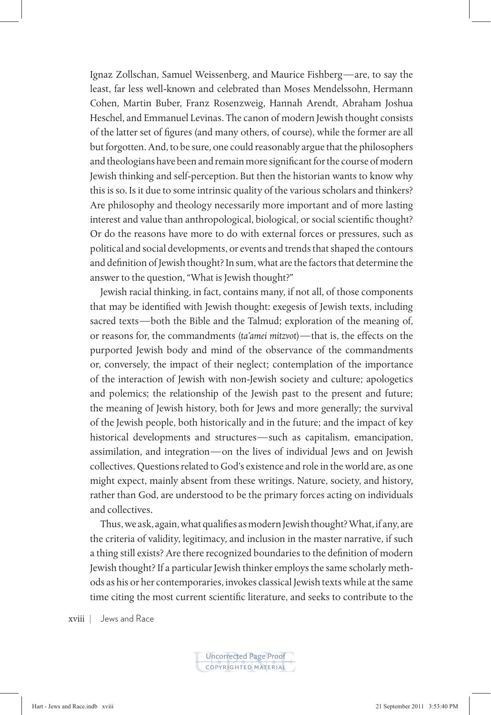Ignaz Zollschan, Samuel Weissenberg, and Maurice Fishberg—are, to say the least, far less well-known and celebrated than Moses Mendelssohn, Hermann Cohen, Martin Buber, Franz Rosenzweig, Hannah Arendt, Abraham Joshua Heschel, and Emmanuel Levinas. The canon of modern Jewish thought consists of the latter set of figures (and many others, of course), while the former are all but forgotten. And, to be sure, one could reasonably argue that the philosophers and theologians have been and remain more significant for the course of modern Jewish thinking and self-perception. But then the historian wants to know why this is so. Is it due to some intrinsic quality of the various scholars and thinkers? Are philosophy and theology necessarily more important and of more lasting interest and value than anthropological, biological, or social scientific thought? Or do the reasons have more to do with external forces or pressures, such as political and social developments, or events and trends that shaped the contours and definition of Jewish thought? In sum, what are the factors that determine the answer to the question, "What is Jewish thought?"

Jewish racial thinking, in fact, contains many, if not all, of those components that may be identified with Jewish thought: exegesis of Jewish texts, including sacred texts—both the Bible and the Talmud; exploration of the meaning of, or reasons for, the commandments (*ta'amei mitzvot*)—that is, the eff ects on the purported Jewish body and mind of the observance of the commandments or, conversely, the impact of their neglect; contemplation of the importance of the interaction of Jewish with non-Jewish society and culture; apologetics and polemics; the relationship of the Jewish past to the present and future; the meaning of Jewish history, both for Jews and more generally; the survival of the Jewish people, both historically and in the future; and the impact of key historical developments and structures—such as capitalism, emancipation, assimilation, and integration—on the lives of individual Jews and on Jewish collectives. Questions related to God's existence and role in the world are, as one might expect, mainly absent from these writings. Nature, society, and history, rather than God, are understood to be the primary forces acting on individuals and collectives.

Thus, we ask, again, what qualifies as modern Jewish thought? What, if any, are the criteria of validity, legitimacy, and inclusion in the master narrative, if such a thing still exists? Are there recognized boundaries to the definition of modern Jewish thought? If a particular Jewish thinker employs the same scholarly methods as his or her contemporaries, invokes classical Jewish texts while at the same time citing the most current scientific literature, and seeks to contribute to the

xviii | Jews and Race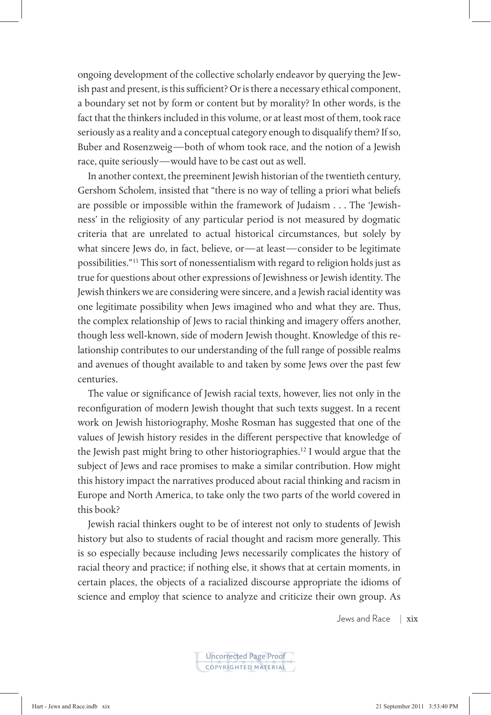ongoing development of the collective scholarly endeavor by querying the Jewish past and present, is this sufficient? Or is there a necessary ethical component, a boundary set not by form or content but by morality? In other words, is the fact that the thinkers included in this volume, or at least most of them, took race seriously as a reality and a conceptual category enough to disqualify them? If so, Buber and Rosenzweig—both of whom took race, and the notion of a Jewish race, quite seriously—would have to be cast out as well.

In another context, the preeminent Jewish historian of the twentieth century, Gershom Scholem, insisted that "there is no way of telling a priori what beliefs are possible or impossible within the framework of Judaism . . . The 'Jewishness' in the religiosity of any particular period is not measured by dogmatic criteria that are unrelated to actual historical circumstances, but solely by what sincere Jews do, in fact, believe, or—at least—consider to be legitimate possibilities."11 This sort of nonessentialism with regard to religion holds just as true for questions about other expressions of Jewishness or Jewish identity. The Jewish thinkers we are considering were sincere, and a Jewish racial identity was one legitimate possibility when Jews imagined who and what they are. Thus, the complex relationship of Jews to racial thinking and imagery offers another, though less well-known, side of modern Jewish thought. Knowledge of this relationship contributes to our understanding of the full range of possible realms and avenues of thought available to and taken by some Jews over the past few centuries.

The value or significance of Jewish racial texts, however, lies not only in the reconfiguration of modern Jewish thought that such texts suggest. In a recent work on Jewish historiography, Moshe Rosman has suggested that one of the values of Jewish history resides in the different perspective that knowledge of the Jewish past might bring to other historiographies.12 I would argue that the subject of Jews and race promises to make a similar contribution. How might this history impact the narratives produced about racial thinking and racism in Europe and North America, to take only the two parts of the world covered in this book?

Jewish racial thinkers ought to be of interest not only to students of Jewish history but also to students of racial thought and racism more generally. This is so especially because including Jews necessarily complicates the history of racial theory and practice; if nothing else, it shows that at certain moments, in certain places, the objects of a racialized discourse appropriate the idioms of science and employ that science to analyze and criticize their own group. As

Jews and Race | xix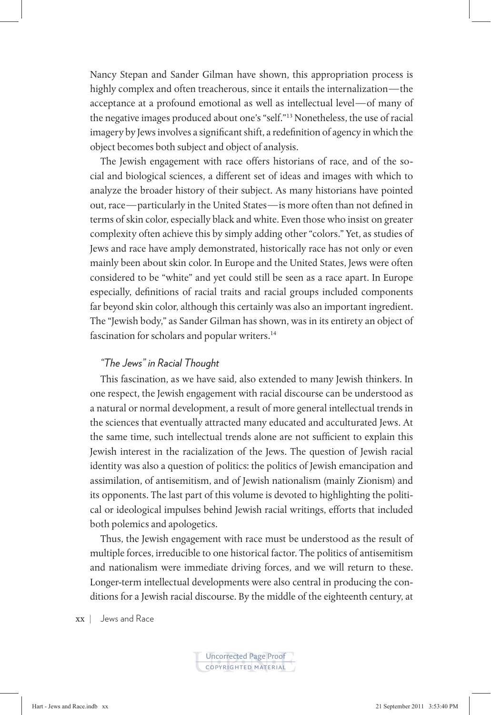Nancy Stepan and Sander Gilman have shown, this appropriation process is highly complex and often treacherous, since it entails the internalization—the acceptance at a profound emotional as well as intellectual level—of many of the negative images produced about one's "self."13 Nonetheless, the use of racial imagery by Jews involves a significant shift, a redefinition of agency in which the object becomes both subject and object of analysis.

The Jewish engagement with race offers historians of race, and of the social and biological sciences, a different set of ideas and images with which to analyze the broader history of their subject. As many historians have pointed out, race—particularly in the United States—is more often than not defined in terms of skin color, especially black and white. Even those who insist on greater complexity often achieve this by simply adding other "colors." Yet, as studies of Jews and race have amply demonstrated, historically race has not only or even mainly been about skin color. In Europe and the United States, Jews were often considered to be "white" and yet could still be seen as a race apart. In Europe especially, definitions of racial traits and racial groups included components far beyond skin color, although this certainly was also an important ingredient. The "Jewish body," as Sander Gilman has shown, was in its entirety an object of fascination for scholars and popular writers.14

#### *"The Jews" in Racial Thought*

This fascination, as we have said, also extended to many Jewish thinkers. In one respect, the Jewish engagement with racial discourse can be understood as a natural or normal development, a result of more general intellectual trends in the sciences that eventually attracted many educated and acculturated Jews. At the same time, such intellectual trends alone are not sufficient to explain this Jewish interest in the racialization of the Jews. The question of Jewish racial identity was also a question of politics: the politics of Jewish emancipation and assimilation, of antisemitism, and of Jewish nationalism (mainly Zionism) and its opponents. The last part of this volume is devoted to highlighting the political or ideological impulses behind Jewish racial writings, efforts that included both polemics and apologetics.

Thus, the Jewish engagement with race must be understood as the result of multiple forces, irreducible to one historical factor. The politics of antisemitism and nationalism were immediate driving forces, and we will return to these. Longer-term intellectual developments were also central in producing the conditions for a Jewish racial discourse. By the middle of the eighteenth century, at

xx | Jews and Race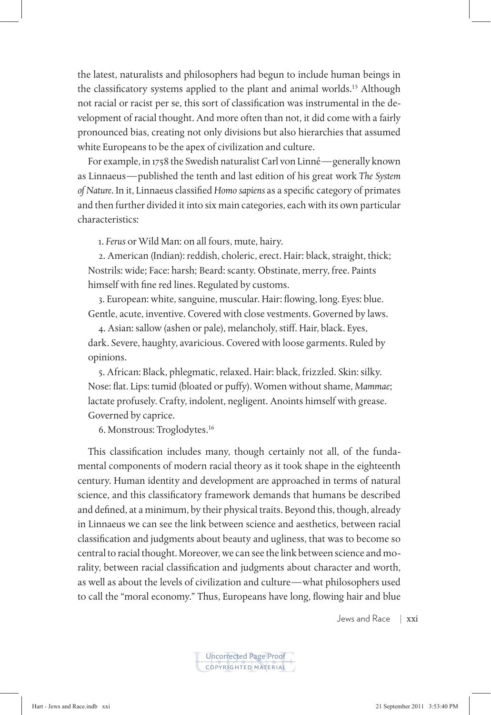the latest, naturalists and philosophers had begun to include human beings in the classificatory systems applied to the plant and animal worlds.<sup>15</sup> Although not racial or racist per se, this sort of classification was instrumental in the development of racial thought. And more often than not, it did come with a fairly pronounced bias, creating not only divisions but also hierarchies that assumed white Europeans to be the apex of civilization and culture.

For example, in 1758 the Swedish naturalist Carl von Linné—generally known as Linnaeus—published the tenth and last edition of his great work *The System of Nature*. In it, Linnaeus classified *Homo sapiens* as a specific category of primates and then further divided it into six main categories, each with its own particular characteristics:

1. *Ferus* or Wild Man: on all fours, mute, hairy.

2. American (Indian): reddish, choleric, erect. Hair: black, straight, thick; Nostrils: wide; Face: harsh; Beard: scanty. Obstinate, merry, free. Paints himself with fine red lines. Regulated by customs.

3. European: white, sanguine, muscular. Hair: flowing, long. Eyes: blue. Gentle, acute, inventive. Covered with close vestments. Governed by laws.

4. Asian: sallow (ashen or pale), melancholy, stiff. Hair, black. Eyes, dark. Severe, haughty, avaricious. Covered with loose garments. Ruled by opinions.

5. African: Black, phlegmatic, relaxed. Hair: black, frizzled. Skin: silky. Nose: flat. Lips: tumid (bloated or puffy). Women without shame, Mammae; lactate profusely. Crafty, indolent, negligent. Anoints himself with grease. Governed by caprice.

6. Monstrous: Troglodytes.16

This classification includes many, though certainly not all, of the fundamental components of modern racial theory as it took shape in the eighteenth century. Human identity and development are approached in terms of natural science, and this classificatory framework demands that humans be described and defined, at a minimum, by their physical traits. Beyond this, though, already in Linnaeus we can see the link between science and aesthetics, between racial classification and judgments about beauty and ugliness, that was to become so central to racial thought. Moreover, we can see the link between science and morality, between racial classification and judgments about character and worth, as well as about the levels of civilization and culture—what philosophers used to call the "moral economy." Thus, Europeans have long, flowing hair and blue

Jews and Race | xxi

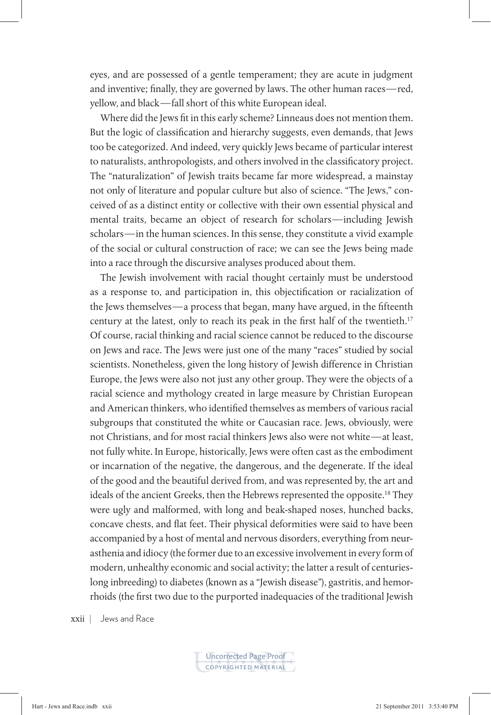eyes, and are possessed of a gentle temperament; they are acute in judgment and inventive; finally, they are governed by laws. The other human races—red, yellow, and black—fall short of this white European ideal.

Where did the Jews fit in this early scheme? Linneaus does not mention them. But the logic of classification and hierarchy suggests, even demands, that Jews too be categorized. And indeed, very quickly Jews became of particular interest to naturalists, anthropologists, and others involved in the classificatory project. The "naturalization" of Jewish traits became far more widespread, a mainstay not only of literature and popular culture but also of science. "The Jews," conceived of as a distinct entity or collective with their own essential physical and mental traits, became an object of research for scholars—including Jewish scholars—in the human sciences. In this sense, they constitute a vivid example of the social or cultural construction of race; we can see the Jews being made into a race through the discursive analyses produced about them.

The Jewish involvement with racial thought certainly must be understood as a response to, and participation in, this objectification or racialization of the Jews themselves—a process that began, many have argued, in the fifteenth century at the latest, only to reach its peak in the first half of the twentieth.<sup>17</sup> Of course, racial thinking and racial science cannot be reduced to the discourse on Jews and race. The Jews were just one of the many "races" studied by social scientists. Nonetheless, given the long history of Jewish difference in Christian Europe, the Jews were also not just any other group. They were the objects of a racial science and mythology created in large measure by Christian European and American thinkers, who identified themselves as members of various racial subgroups that constituted the white or Caucasian race. Jews, obviously, were not Christians, and for most racial thinkers Jews also were not white—at least, not fully white. In Europe, historically, Jews were often cast as the embodiment or incarnation of the negative, the dangerous, and the degenerate. If the ideal of the good and the beautiful derived from, and was represented by, the art and ideals of the ancient Greeks, then the Hebrews represented the opposite.<sup>18</sup> They were ugly and malformed, with long and beak-shaped noses, hunched backs, concave chests, and flat feet. Their physical deformities were said to have been accompanied by a host of mental and nervous disorders, everything from neurasthenia and idiocy (the former due to an excessive involvement in every form of modern, unhealthy economic and social activity; the latter a result of centurieslong inbreeding) to diabetes (known as a "Jewish disease"), gastritis, and hemorrhoids (the first two due to the purported inadequacies of the traditional Jewish

xxii | Jews and Race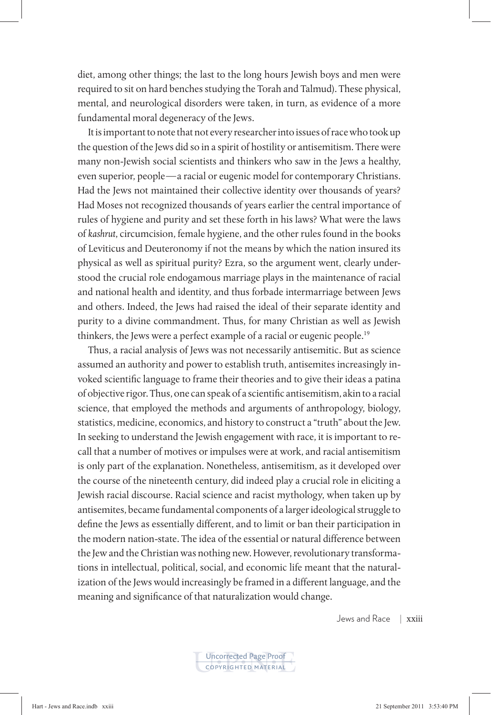diet, among other things; the last to the long hours Jewish boys and men were required to sit on hard benches studying the Torah and Talmud). These physical, mental, and neurological disorders were taken, in turn, as evidence of a more fundamental moral degeneracy of the Jews.

It is important to note that not every researcher into issues of race who took up the question of the Jews did so in a spirit of hostility or antisemitism. There were many non-Jewish social scientists and thinkers who saw in the Jews a healthy, even superior, people—a racial or eugenic model for contemporary Christians. Had the Jews not maintained their collective identity over thousands of years? Had Moses not recognized thousands of years earlier the central importance of rules of hygiene and purity and set these forth in his laws? What were the laws of *kashrut*, circumcision, female hygiene, and the other rules found in the books of Leviticus and Deuteronomy if not the means by which the nation insured its physical as well as spiritual purity? Ezra, so the argument went, clearly understood the crucial role endogamous marriage plays in the maintenance of racial and national health and identity, and thus forbade intermarriage between Jews and others. Indeed, the Jews had raised the ideal of their separate identity and purity to a divine commandment. Thus, for many Christian as well as Jewish thinkers, the Jews were a perfect example of a racial or eugenic people.<sup>19</sup>

Thus, a racial analysis of Jews was not necessarily antisemitic. But as science assumed an authority and power to establish truth, antisemites increasingly invoked scientific language to frame their theories and to give their ideas a patina of objective rigor. Thus, one can speak of a scientific antisemitism, akin to a racial science, that employed the methods and arguments of anthropology, biology, statistics, medicine, economics, and history to construct a "truth" about the Jew. In seeking to understand the Jewish engagement with race, it is important to recall that a number of motives or impulses were at work, and racial antisemitism is only part of the explanation. Nonetheless, antisemitism, as it developed over the course of the nineteenth century, did indeed play a crucial role in eliciting a Jewish racial discourse. Racial science and racist mythology, when taken up by antisemites, became fundamental components of a larger ideological struggle to define the Jews as essentially different, and to limit or ban their participation in the modern nation-state. The idea of the essential or natural difference between the Jew and the Christian was nothing new. However, revolutionary transformations in intellectual, political, social, and economic life meant that the naturalization of the Jews would increasingly be framed in a different language, and the meaning and significance of that naturalization would change.

Jews and Race | xxiii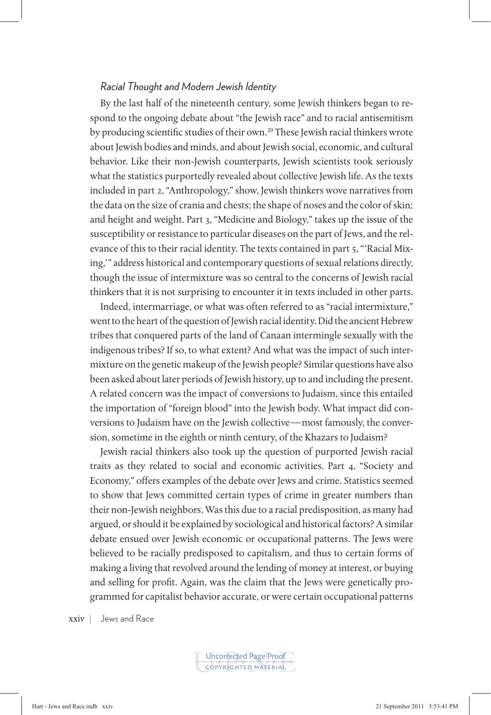#### *Racial Thought and Modern Jewish Identity*

By the last half of the nineteenth century, some Jewish thinkers began to respond to the ongoing debate about "the Jewish race" and to racial antisemitism by producing scientific studies of their own.<sup>20</sup> These Jewish racial thinkers wrote about Jewish bodies and minds, and about Jewish social, economic, and cultural behavior. Like their non-Jewish counterparts, Jewish scientists took seriously what the statistics purportedly revealed about collective Jewish life. As the texts included in part 2, "Anthropology," show, Jewish thinkers wove narratives from the data on the size of crania and chests; the shape of noses and the color of skin; and height and weight. Part 3, "Medicine and Biology," takes up the issue of the susceptibility or resistance to particular diseases on the part of Jews, and the relevance of this to their racial identity. The texts contained in part 5, " 'Racial Mixing,'" address historical and contemporary questions of sexual relations directly, though the issue of intermixture was so central to the concerns of Jewish racial thinkers that it is not surprising to encounter it in texts included in other parts.

Indeed, intermarriage, or what was often referred to as "racial intermixture," went to the heart of the question of Jewish racial identity. Did the ancient Hebrew tribes that conquered parts of the land of Canaan intermingle sexually with the indigenous tribes? If so, to what extent? And what was the impact of such intermixture on the genetic makeup of the Jewish people? Similar questions have also been asked about later periods of Jewish history, up to and including the present. A related concern was the impact of conversions to Judaism, since this entailed the importation of "foreign blood" into the Jewish body. What impact did conversions to Judaism have on the Jewish collective—most famously, the conversion, sometime in the eighth or ninth century, of the Khazars to Judaism?

Jewish racial thinkers also took up the question of purported Jewish racial traits as they related to social and economic activities. Part 4, "Society and Economy," offers examples of the debate over Jews and crime. Statistics seemed to show that Jews committed certain types of crime in greater numbers than their non-Jewish neighbors. Was this due to a racial predisposition, as many had argued, or should it be explained by sociological and historical factors? A similar debate ensued over Jewish economic or occupational patterns. The Jews were believed to be racially predisposed to capitalism, and thus to certain forms of making a living that revolved around the lending of money at interest, or buying and selling for profit. Again, was the claim that the Jews were genetically programmed for capitalist behavior accurate, or were certain occupational patterns

xxiv | Jews and Race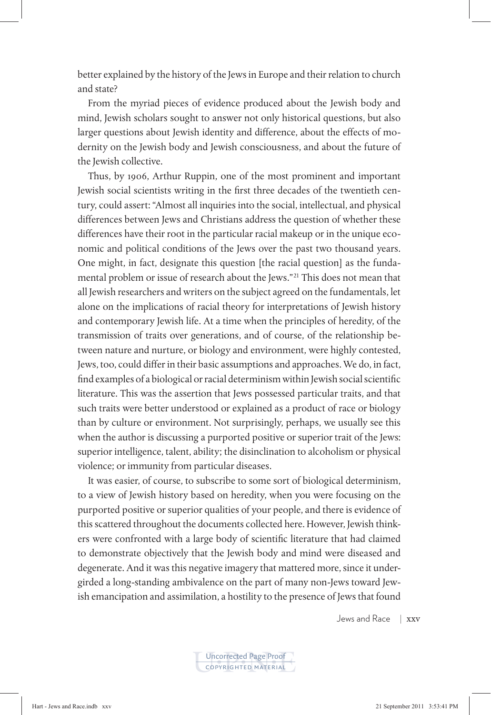better explained by the history of the Jews in Europe and their relation to church and state?

From the myriad pieces of evidence produced about the Jewish body and mind, Jewish scholars sought to answer not only historical questions, but also larger questions about Jewish identity and difference, about the effects of modernity on the Jewish body and Jewish consciousness, and about the future of the Jewish collective.

Thus, by 1906, Arthur Ruppin, one of the most prominent and important Jewish social scientists writing in the first three decades of the twentieth century, could assert: "Almost all inquiries into the social, intellectual, and physical differences between Jews and Christians address the question of whether these differences have their root in the particular racial makeup or in the unique economic and political conditions of the Jews over the past two thousand years. One might, in fact, designate this question [the racial question] as the fundamental problem or issue of research about the Jews."21 This does not mean that all Jewish researchers and writers on the subject agreed on the fundamentals, let alone on the implications of racial theory for interpretations of Jewish history and contemporary Jewish life. At a time when the principles of heredity, of the transmission of traits over generations, and of course, of the relationship between nature and nurture, or biology and environment, were highly contested, Jews, too, could differ in their basic assumptions and approaches. We do, in fact, find examples of a biological or racial determinism within Jewish social scientific literature. This was the assertion that Jews possessed particular traits, and that such traits were better understood or explained as a product of race or biology than by culture or environment. Not surprisingly, perhaps, we usually see this when the author is discussing a purported positive or superior trait of the Jews: superior intelligence, talent, ability; the disinclination to alcoholism or physical violence; or immunity from particular diseases.

It was easier, of course, to subscribe to some sort of biological determinism, to a view of Jewish history based on heredity, when you were focusing on the purported positive or superior qualities of your people, and there is evidence of this scattered throughout the documents collected here. However, Jewish thinkers were confronted with a large body of scientific literature that had claimed to demonstrate objectively that the Jewish body and mind were diseased and degenerate. And it was this negative imagery that mattered more, since it undergirded a long-standing ambivalence on the part of many non-Jews toward Jewish emancipation and assimilation, a hostility to the presence of Jews that found

Jews and Race | xxv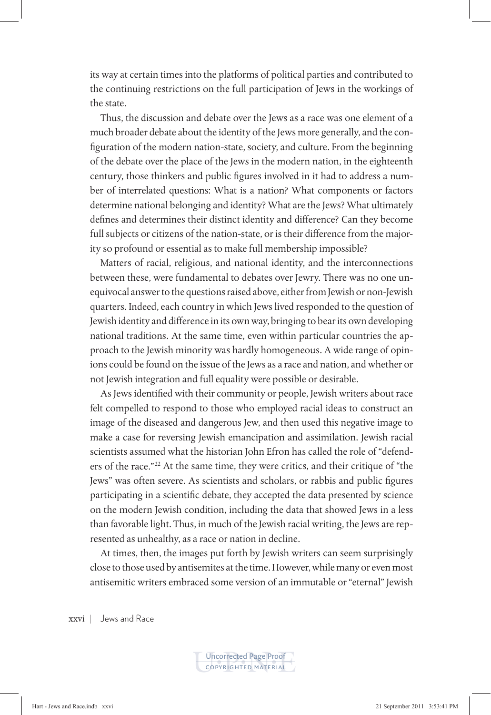its way at certain times into the platforms of political parties and contributed to the continuing restrictions on the full participation of Jews in the workings of the state.

Thus, the discussion and debate over the Jews as a race was one element of a much broader debate about the identity of the Jews more generally, and the configuration of the modern nation-state, society, and culture. From the beginning of the debate over the place of the Jews in the modern nation, in the eighteenth century, those thinkers and public figures involved in it had to address a number of interrelated questions: What is a nation? What components or factors determine national belonging and identity? What are the Jews? What ultimately defines and determines their distinct identity and difference? Can they become full subjects or citizens of the nation-state, or is their difference from the majority so profound or essential as to make full membership impossible?

Matters of racial, religious, and national identity, and the interconnections between these, were fundamental to debates over Jewry. There was no one unequivocal answer to the questions raised above, either from Jewish or non-Jewish quarters. Indeed, each country in which Jews lived responded to the question of Jewish identity and difference in its own way, bringing to bear its own developing national traditions. At the same time, even within particular countries the approach to the Jewish minority was hardly homogeneous. A wide range of opinions could be found on the issue of the Jews as a race and nation, and whether or not Jewish integration and full equality were possible or desirable.

As Jews identified with their community or people, Jewish writers about race felt compelled to respond to those who employed racial ideas to construct an image of the diseased and dangerous Jew, and then used this negative image to make a case for reversing Jewish emancipation and assimilation. Jewish racial scientists assumed what the historian John Efron has called the role of "defenders of the race."22 At the same time, they were critics, and their critique of "the Jews" was often severe. As scientists and scholars, or rabbis and public figures participating in a scientific debate, they accepted the data presented by science on the modern Jewish condition, including the data that showed Jews in a less than favorable light. Thus, in much of the Jewish racial writing, the Jews are represented as unhealthy, as a race or nation in decline.

At times, then, the images put forth by Jewish writers can seem surprisingly close to those used by antisemites at the time. However, while many or even most antisemitic writers embraced some version of an immutable or "eternal" Jewish

xxvi | Jews and Race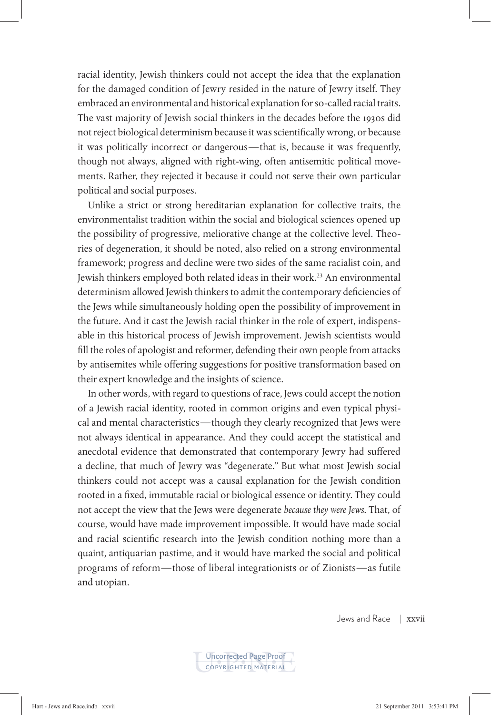racial identity, Jewish thinkers could not accept the idea that the explanation for the damaged condition of Jewry resided in the nature of Jewry itself. They embraced an environmental and historical explanation for so-called racial traits. The vast majority of Jewish social thinkers in the decades before the 1930s did not reject biological determinism because it was scientifically wrong, or because it was politically incorrect or dangerous—that is, because it was frequently, though not always, aligned with right-wing, often antisemitic political movements. Rather, they rejected it because it could not serve their own particular political and social purposes.

Unlike a strict or strong hereditarian explanation for collective traits, the environmentalist tradition within the social and biological sciences opened up the possibility of progressive, meliorative change at the collective level. Theories of degeneration, it should be noted, also relied on a strong environmental framework; progress and decline were two sides of the same racialist coin, and Jewish thinkers employed both related ideas in their work.23 An environmental determinism allowed Jewish thinkers to admit the contemporary deficiencies of the Jews while simultaneously holding open the possibility of improvement in the future. And it cast the Jewish racial thinker in the role of expert, indispensable in this historical process of Jewish improvement. Jewish scientists would fill the roles of apologist and reformer, defending their own people from attacks by antisemites while offering suggestions for positive transformation based on their expert knowledge and the insights of science.

In other words, with regard to questions of race, Jews could accept the notion of a Jewish racial identity, rooted in common origins and even typical physical and mental characteristics—though they clearly recognized that Jews were not always identical in appearance. And they could accept the statistical and anecdotal evidence that demonstrated that contemporary Jewry had suffered a decline, that much of Jewry was "degenerate." But what most Jewish social thinkers could not accept was a causal explanation for the Jewish condition rooted in a fixed, immutable racial or biological essence or identity. They could not accept the view that the Jews were degenerate *because they were Jews*. That, of course, would have made improvement impossible. It would have made social and racial scientific research into the Jewish condition nothing more than a quaint, antiquarian pastime, and it would have marked the social and political programs of reform—those of liberal integrationists or of Zionists—as futile and utopian.

Jews and Race | xxvii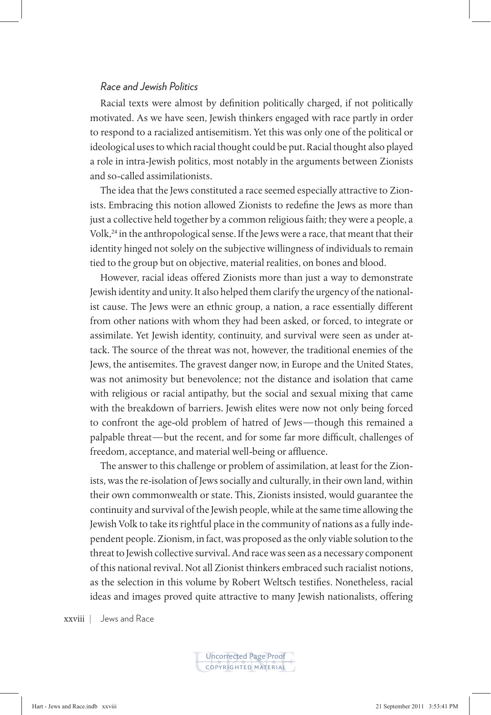#### *Race and Jewish Politics*

Racial texts were almost by definition politically charged, if not politically motivated. As we have seen, Jewish thinkers engaged with race partly in order to respond to a racialized antisemitism. Yet this was only one of the political or ideological uses to which racial thought could be put. Racial thought also played a role in intra-Jewish politics, most notably in the arguments between Zionists and so-called assimilationists.

The idea that the Jews constituted a race seemed especially attractive to Zionists. Embracing this notion allowed Zionists to redefine the Jews as more than just a collective held together by a common religious faith; they were a people, a Volk,<sup>24</sup> in the anthropological sense. If the Jews were a race, that meant that their identity hinged not solely on the subjective willingness of individuals to remain tied to the group but on objective, material realities, on bones and blood.

However, racial ideas offered Zionists more than just a way to demonstrate Jewish identity and unity. It also helped them clarify the urgency of the nationalist cause. The Jews were an ethnic group, a nation, a race essentially different from other nations with whom they had been asked, or forced, to integrate or assimilate. Yet Jewish identity, continuity, and survival were seen as under attack. The source of the threat was not, however, the traditional enemies of the Jews, the antisemites. The gravest danger now, in Europe and the United States, was not animosity but benevolence; not the distance and isolation that came with religious or racial antipathy, but the social and sexual mixing that came with the breakdown of barriers. Jewish elites were now not only being forced to confront the age-old problem of hatred of Jews—though this remained a palpable threat—but the recent, and for some far more difficult, challenges of freedom, acceptance, and material well-being or affluence.

The answer to this challenge or problem of assimilation, at least for the Zionists, was the re-isolation of Jews socially and culturally, in their own land, within their own commonwealth or state. This, Zionists insisted, would guarantee the continuity and survival of the Jewish people, while at the same time allowing the Jewish Volk to take its rightful place in the community of nations as a fully independent people. Zionism, in fact, was proposed as the only viable solution to the threat to Jewish collective survival. And race was seen as a necessary component of this national revival. Not all Zionist thinkers embraced such racialist notions, as the selection in this volume by Robert Weltsch testifies. Nonetheless, racial ideas and images proved quite attractive to many Jewish nationalists, offering

xxviii | Jews and Race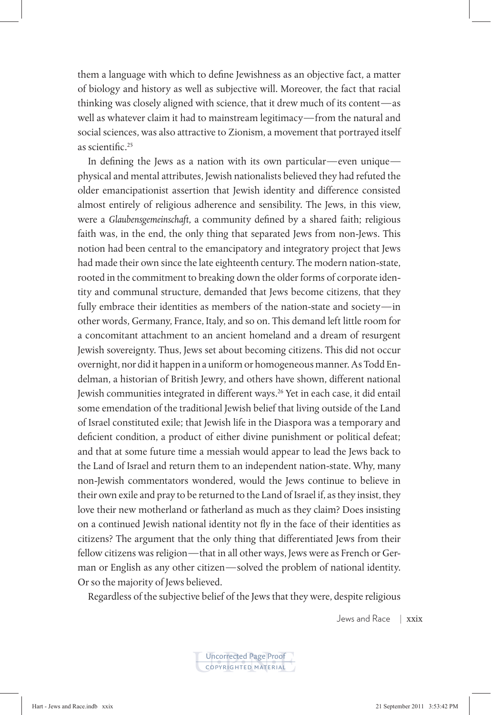them a language with which to define Jewishness as an objective fact, a matter of biology and history as well as subjective will. Moreover, the fact that racial thinking was closely aligned with science, that it drew much of its content—as well as whatever claim it had to mainstream legitimacy—from the natural and social sciences, was also attractive to Zionism, a movement that portrayed itself as scientific. $25$ 

In defining the Jews as a nation with its own particular—even unique physical and mental attributes, Jewish nationalists believed they had refuted the older emancipationist assertion that Jewish identity and difference consisted almost entirely of religious adherence and sensibility. The Jews, in this view, were a *Glaubensgemeinschaft*, a community defined by a shared faith; religious faith was, in the end, the only thing that separated Jews from non-Jews. This notion had been central to the emancipatory and integratory project that Jews had made their own since the late eighteenth century. The modern nation-state, rooted in the commitment to breaking down the older forms of corporate identity and communal structure, demanded that Jews become citizens, that they fully embrace their identities as members of the nation-state and society—in other words, Germany, France, Italy, and so on. This demand left little room for a concomitant attachment to an ancient homeland and a dream of resurgent Jewish sovereignty. Thus, Jews set about becoming citizens. This did not occur overnight, nor did it happen in a uniform or homogeneous manner. As Todd Endelman, a historian of British Jewry, and others have shown, different national Jewish communities integrated in different ways.<sup>26</sup> Yet in each case, it did entail some emendation of the traditional Jewish belief that living outside of the Land of Israel constituted exile; that Jewish life in the Diaspora was a temporary and deficient condition, a product of either divine punishment or political defeat; and that at some future time a messiah would appear to lead the Jews back to the Land of Israel and return them to an independent nation-state. Why, many non-Jewish commentators wondered, would the Jews continue to believe in their own exile and pray to be returned to the Land of Israel if, as they insist, they love their new motherland or fatherland as much as they claim? Does insisting on a continued Jewish national identity not fly in the face of their identities as citizens? The argument that the only thing that differentiated Jews from their fellow citizens was religion—that in all other ways, Jews were as French or German or English as any other citizen—solved the problem of national identity. Or so the majority of Jews believed.

Regardless of the subjective belief of the Jews that they were, despite religious

Jews and Race | xxix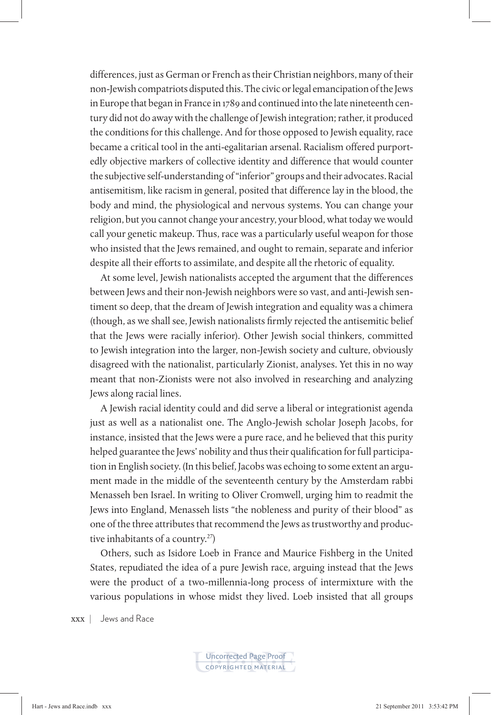differences, just as German or French as their Christian neighbors, many of their non-Jewish compatriots disputed this. The civic or legal emancipation of the Jews in Europe that began in France in 1789 and continued into the late nineteenth century did not do away with the challenge of Jewish integration; rather, it produced the conditions for this challenge. And for those opposed to Jewish equality, race became a critical tool in the anti-egalitarian arsenal. Racialism offered purportedly objective markers of collective identity and difference that would counter the subjective self-understanding of "inferior" groups and their advocates. Racial antisemitism, like racism in general, posited that difference lay in the blood, the body and mind, the physiological and nervous systems. You can change your religion, but you cannot change your ancestry, your blood, what today we would call your genetic makeup. Thus, race was a particularly useful weapon for those who insisted that the Jews remained, and ought to remain, separate and inferior despite all their efforts to assimilate, and despite all the rhetoric of equality.

At some level, Jewish nationalists accepted the argument that the differences between Jews and their non-Jewish neighbors were so vast, and anti-Jewish sentiment so deep, that the dream of Jewish integration and equality was a chimera (though, as we shall see, Jewish nationalists firmly rejected the antisemitic belief that the Jews were racially inferior). Other Jewish social thinkers, committed to Jewish integration into the larger, non-Jewish society and culture, obviously disagreed with the nationalist, particularly Zionist, analyses. Yet this in no way meant that non-Zionists were not also involved in researching and analyzing Jews along racial lines.

A Jewish racial identity could and did serve a liberal or integrationist agenda just as well as a nationalist one. The Anglo-Jewish scholar Joseph Jacobs, for instance, insisted that the Jews were a pure race, and he believed that this purity helped guarantee the Jews' nobility and thus their qualification for full participation in English society. (In this belief, Jacobs was echoing to some extent an argument made in the middle of the seventeenth century by the Amsterdam rabbi Menasseh ben Israel. In writing to Oliver Cromwell, urging him to readmit the Jews into England, Menasseh lists "the nobleness and purity of their blood" as one of the three attributes that recommend the Jews as trustworthy and productive inhabitants of a country.27)

Others, such as Isidore Loeb in France and Maurice Fishberg in the United States, repudiated the idea of a pure Jewish race, arguing instead that the Jews were the product of a two-millennia-long process of intermixture with the various populations in whose midst they lived. Loeb insisted that all groups

xxx | Jews and Race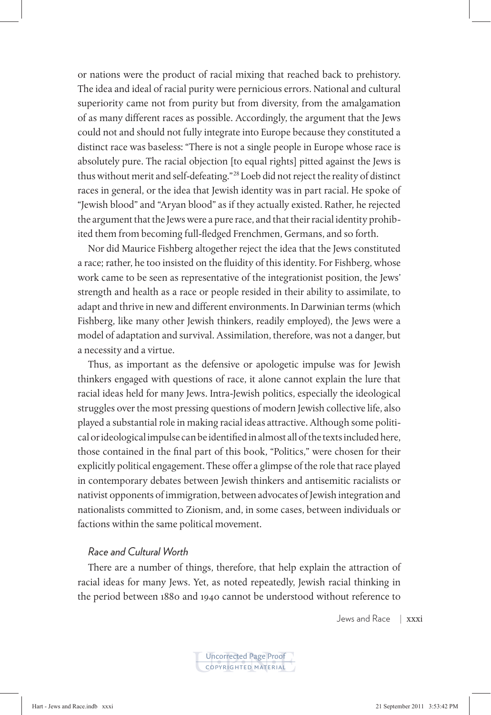or nations were the product of racial mixing that reached back to prehistory. The idea and ideal of racial purity were pernicious errors. National and cultural superiority came not from purity but from diversity, from the amalgamation of as many different races as possible. Accordingly, the argument that the Jews could not and should not fully integrate into Europe because they constituted a distinct race was baseless: "There is not a single people in Europe whose race is absolutely pure. The racial objection [to equal rights] pitted against the Jews is thus without merit and self-defeating."28 Loeb did not reject the reality of distinct races in general, or the idea that Jewish identity was in part racial. He spoke of "Jewish blood" and "Aryan blood" as if they actually existed. Rather, he rejected the argument that the Jews were a pure race, and that their racial identity prohibited them from becoming full-fledged Frenchmen, Germans, and so forth.

Nor did Maurice Fishberg altogether reject the idea that the Jews constituted a race; rather, he too insisted on the fluidity of this identity. For Fishberg, whose work came to be seen as representative of the integrationist position, the Jews' strength and health as a race or people resided in their ability to assimilate, to adapt and thrive in new and different environments. In Darwinian terms (which Fishberg, like many other Jewish thinkers, readily employed), the Jews were a model of adaptation and survival. Assimilation, therefore, was not a danger, but a necessity and a virtue.

Thus, as important as the defensive or apologetic impulse was for Jewish thinkers engaged with questions of race, it alone cannot explain the lure that racial ideas held for many Jews. Intra-Jewish politics, especially the ideological struggles over the most pressing questions of modern Jewish collective life, also played a substantial role in making racial ideas attractive. Although some political or ideological impulse can be identified in almost all of the texts included here, those contained in the final part of this book, "Politics," were chosen for their explicitly political engagement. These offer a glimpse of the role that race played in contemporary debates between Jewish thinkers and antisemitic racialists or nativist opponents of immigration, between advocates of Jewish integration and nationalists committed to Zionism, and, in some cases, between individuals or factions within the same political movement.

#### *Race and Cultural Worth*

There are a number of things, therefore, that help explain the attraction of racial ideas for many Jews. Yet, as noted repeatedly, Jewish racial thinking in the period between 1880 and 1940 cannot be understood without reference to

Jews and Race | xxxi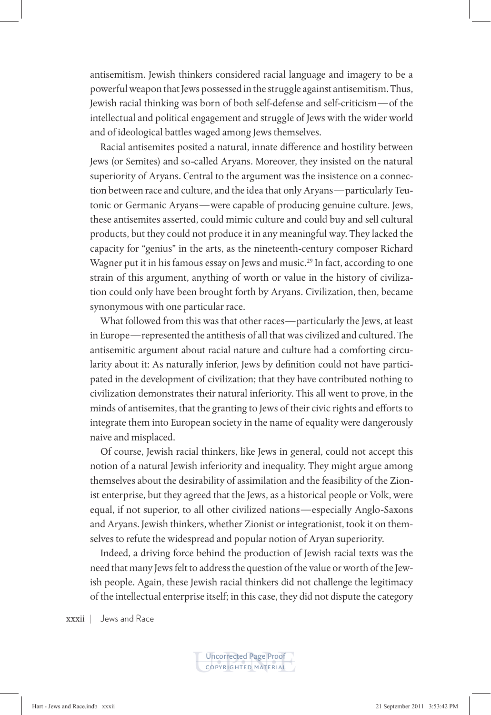antisemitism. Jewish thinkers considered racial language and imagery to be a powerful weapon that Jews possessed in the struggle against antisemitism. Thus, Jewish racial thinking was born of both self-defense and self-criticism—of the intellectual and political engagement and struggle of Jews with the wider world and of ideological battles waged among Jews themselves.

Racial antisemites posited a natural, innate difference and hostility between Jews (or Semites) and so-called Aryans. Moreover, they insisted on the natural superiority of Aryans. Central to the argument was the insistence on a connection between race and culture, and the idea that only Aryans—particularly Teutonic or Germanic Aryans—were capable of producing genuine culture. Jews, these antisemites asserted, could mimic culture and could buy and sell cultural products, but they could not produce it in any meaningful way. They lacked the capacity for "genius" in the arts, as the nineteenth-century composer Richard Wagner put it in his famous essay on Jews and music.<sup>29</sup> In fact, according to one strain of this argument, anything of worth or value in the history of civilization could only have been brought forth by Aryans. Civilization, then, became synonymous with one particular race.

What followed from this was that other races—particularly the Jews, at least in Europe—represented the antithesis of all that was civilized and cultured. The antisemitic argument about racial nature and culture had a comforting circularity about it: As naturally inferior, Jews by definition could not have participated in the development of civilization; that they have contributed nothing to civilization demonstrates their natural inferiority. This all went to prove, in the minds of antisemites, that the granting to Jews of their civic rights and efforts to integrate them into European society in the name of equality were dangerously naive and misplaced.

Of course, Jewish racial thinkers, like Jews in general, could not accept this notion of a natural Jewish inferiority and inequality. They might argue among themselves about the desirability of assimilation and the feasibility of the Zionist enterprise, but they agreed that the Jews, as a historical people or Volk, were equal, if not superior, to all other civilized nations—especially Anglo-Saxons and Aryans. Jewish thinkers, whether Zionist or integrationist, took it on themselves to refute the widespread and popular notion of Aryan superiority.

Indeed, a driving force behind the production of Jewish racial texts was the need that many Jews felt to address the question of the value or worth of the Jewish people. Again, these Jewish racial thinkers did not challenge the legitimacy of the intellectual enterprise itself; in this case, they did not dispute the category

xxxii | Jews and Race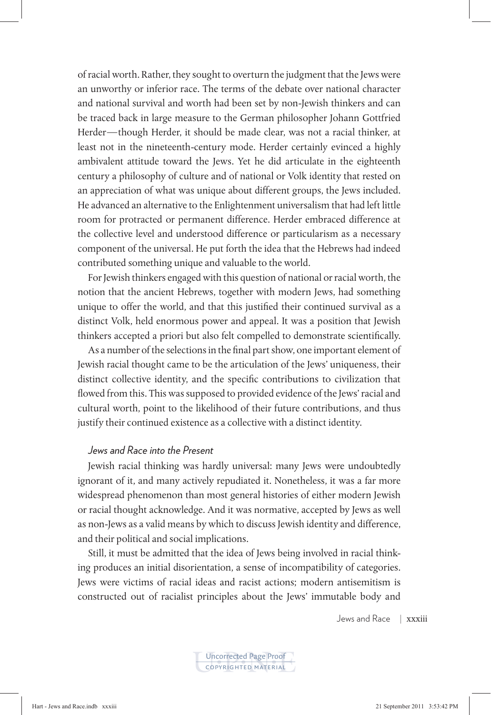of racial worth. Rather, they sought to overturn the judgment that the Jews were an unworthy or inferior race. The terms of the debate over national character and national survival and worth had been set by non-Jewish thinkers and can be traced back in large measure to the German philosopher Johann Gottfried Herder—though Herder, it should be made clear, was not a racial thinker, at least not in the nineteenth-century mode. Herder certainly evinced a highly ambivalent attitude toward the Jews. Yet he did articulate in the eighteenth century a philosophy of culture and of national or Volk identity that rested on an appreciation of what was unique about different groups, the Jews included. He advanced an alternative to the Enlightenment universalism that had left little room for protracted or permanent difference. Herder embraced difference at the collective level and understood difference or particularism as a necessary component of the universal. He put forth the idea that the Hebrews had indeed contributed something unique and valuable to the world.

For Jewish thinkers engaged with this question of national or racial worth, the notion that the ancient Hebrews, together with modern Jews, had something unique to offer the world, and that this justified their continued survival as a distinct Volk, held enormous power and appeal. It was a position that Jewish thinkers accepted a priori but also felt compelled to demonstrate scientifically.

As a number of the selections in the final part show, one important element of Jewish racial thought came to be the articulation of the Jews' uniqueness, their distinct collective identity, and the specific contributions to civilization that flowed from this. This was supposed to provided evidence of the Jews' racial and cultural worth, point to the likelihood of their future contributions, and thus justify their continued existence as a collective with a distinct identity.

#### *Jews and Race into the Present*

Jewish racial thinking was hardly universal: many Jews were undoubtedly ignorant of it, and many actively repudiated it. Nonetheless, it was a far more widespread phenomenon than most general histories of either modern Jewish or racial thought acknowledge. And it was normative, accepted by Jews as well as non-Jews as a valid means by which to discuss Jewish identity and difference, and their political and social implications.

Still, it must be admitted that the idea of Jews being involved in racial thinking produces an initial disorientation, a sense of incompatibility of categories. Jews were victims of racial ideas and racist actions; modern antisemitism is constructed out of racialist principles about the Jews' immutable body and

Jews and Race | xxxiii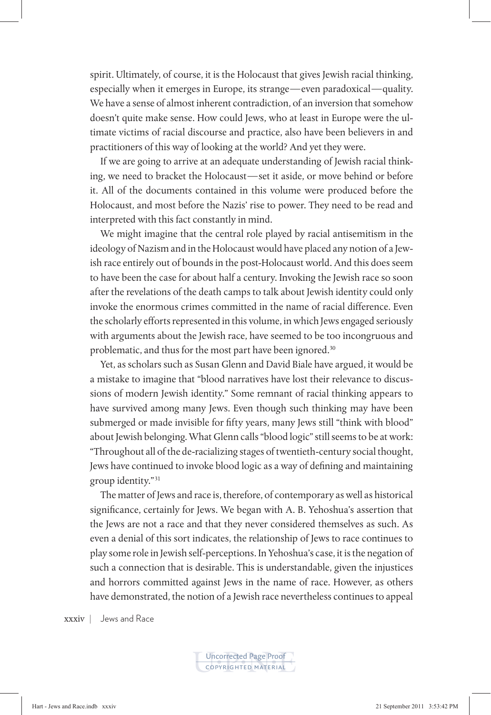spirit. Ultimately, of course, it is the Holocaust that gives Jewish racial thinking, especially when it emerges in Europe, its strange—even paradoxical—quality. We have a sense of almost inherent contradiction, of an inversion that somehow doesn't quite make sense. How could Jews, who at least in Europe were the ultimate victims of racial discourse and practice, also have been believers in and practitioners of this way of looking at the world? And yet they were.

If we are going to arrive at an adequate understanding of Jewish racial thinking, we need to bracket the Holocaust—set it aside, or move behind or before it. All of the documents contained in this volume were produced before the Holocaust, and most before the Nazis' rise to power. They need to be read and interpreted with this fact constantly in mind.

We might imagine that the central role played by racial antisemitism in the ideology of Nazism and in the Holocaust would have placed any notion of a Jewish race entirely out of bounds in the post-Holocaust world. And this does seem to have been the case for about half a century. Invoking the Jewish race so soon after the revelations of the death camps to talk about Jewish identity could only invoke the enormous crimes committed in the name of racial difference. Even the scholarly efforts represented in this volume, in which Jews engaged seriously with arguments about the Jewish race, have seemed to be too incongruous and problematic, and thus for the most part have been ignored.<sup>30</sup>

Yet, as scholars such as Susan Glenn and David Biale have argued, it would be a mistake to imagine that "blood narratives have lost their relevance to discussions of modern Jewish identity." Some remnant of racial thinking appears to have survived among many Jews. Even though such thinking may have been submerged or made invisible for fifty years, many Jews still "think with blood" about Jewish belonging. What Glenn calls "blood logic" still seems to be at work: "Throughout all of the de-racializing stages of twentieth-century social thought, Jews have continued to invoke blood logic as a way of defining and maintaining group identity."31

The matter of Jews and race is, therefore, of contemporary as well as historical significance, certainly for Jews. We began with A. B. Yehoshua's assertion that the Jews are not a race and that they never considered themselves as such. As even a denial of this sort indicates, the relationship of Jews to race continues to play some role in Jewish self-perceptions. In Yehoshua's case, it is the negation of such a connection that is desirable. This is understandable, given the injustices and horrors committed against Jews in the name of race. However, as others have demonstrated, the notion of a Jewish race nevertheless continues to appeal

xxxiv | Jews and Race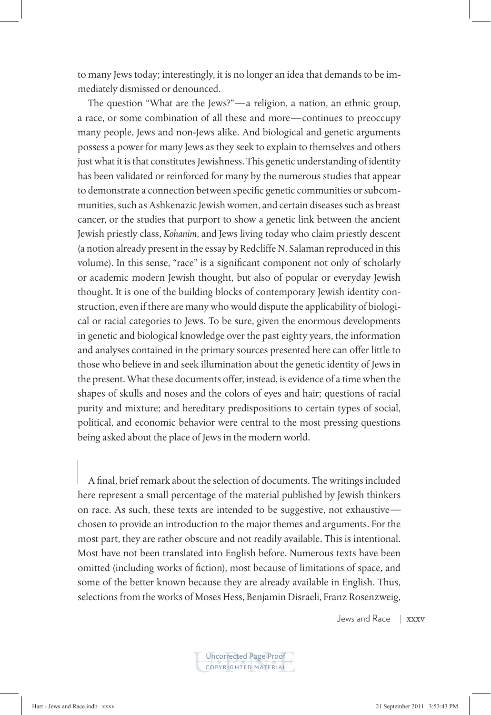to many Jews today; interestingly, it is no longer an idea that demands to be immediately dismissed or denounced.

The question "What are the Jews?"—a religion, a nation, an ethnic group, a race, or some combination of all these and more—continues to preoccupy many people, Jews and non-Jews alike. And biological and genetic arguments possess a power for many Jews as they seek to explain to themselves and others just what it is that constitutes Jewishness. This genetic understanding of identity has been validated or reinforced for many by the numerous studies that appear to demonstrate a connection between specific genetic communities or subcommunities, such as Ashkenazic Jewish women, and certain diseases such as breast cancer, or the studies that purport to show a genetic link between the ancient Jewish priestly class, *Kohanim*, and Jews living today who claim priestly descent (a notion already present in the essay by Redcliffe N. Salaman reproduced in this volume). In this sense, "race" is a significant component not only of scholarly or academic modern Jewish thought, but also of popular or everyday Jewish thought. It is one of the building blocks of contemporary Jewish identity construction, even if there are many who would dispute the applicability of biological or racial categories to Jews. To be sure, given the enormous developments in genetic and biological knowledge over the past eighty years, the information and analyses contained in the primary sources presented here can offer little to those who believe in and seek illumination about the genetic identity of Jews in the present. What these documents offer, instead, is evidence of a time when the shapes of skulls and noses and the colors of eyes and hair; questions of racial purity and mixture; and hereditary predispositions to certain types of social, political, and economic behavior were central to the most pressing questions being asked about the place of Jews in the modern world.

A final, brief remark about the selection of documents. The writings included here represent a small percentage of the material published by Jewish thinkers on race. As such, these texts are intended to be suggestive, not exhaustive chosen to provide an introduction to the major themes and arguments. For the most part, they are rather obscure and not readily available. This is intentional. Most have not been translated into English before. Numerous texts have been omitted (including works of fiction), most because of limitations of space, and some of the better known because they are already available in English. Thus, selections from the works of Moses Hess, Benjamin Disraeli, Franz Rosenzweig,

Jews and Race | xxxv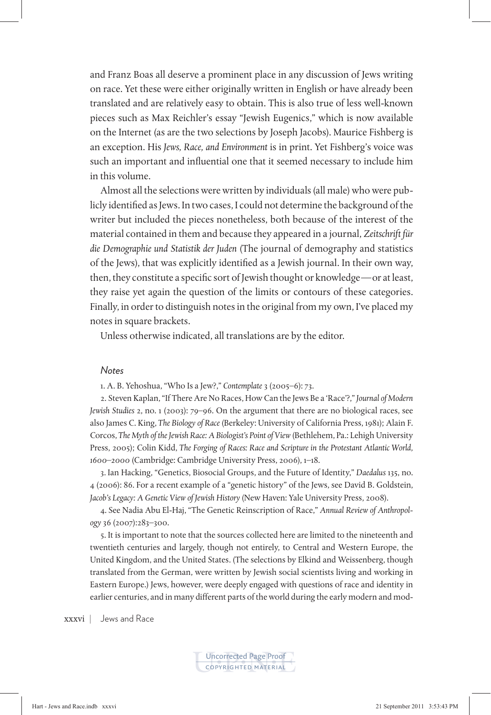and Franz Boas all deserve a prominent place in any discussion of Jews writing on race. Yet these were either originally written in English or have already been translated and are relatively easy to obtain. This is also true of less well-known pieces such as Max Reichler's essay "Jewish Eugenics," which is now available on the Internet (as are the two selections by Joseph Jacobs). Maurice Fishberg is an exception. His *Jews, Race, and Environment* is in print. Yet Fishberg's voice was such an important and influential one that it seemed necessary to include him in this volume.

Almost all the selections were written by individuals (all male) who were publicly identified as Jews. In two cases, I could not determine the background of the writer but included the pieces nonetheless, both because of the interest of the material contained in them and because they appeared in a journal, *Zeitschrift für die Demographie und Statistik der Juden* (The journal of demography and statistics of the Jews), that was explicitly identified as a Jewish journal. In their own way, then, they constitute a specific sort of Jewish thought or knowledge—or at least, they raise yet again the question of the limits or contours of these categories. Finally, in order to distinguish notes in the original from my own, I've placed my notes in square brackets.

Unless otherwise indicated, all translations are by the editor.

#### *Notes*

1. A. B. Yehoshua, "Who Is a Jew?," *Contemplate* 3 (2005–6): 73.

2. Steven Kaplan, "If There Are No Races, How Can the Jews Be a 'Race'?," *Journal of Modern Jewish Studies* 2, no. 1 (2003): 79–96. On the argument that there are no biological races, see also James C. King, *The Biology of Race* (Berkeley: University of California Press, 1981); Alain F. Corcos, *The Myth of the Jewish Race: A Biologist's Point of View* (Bethlehem, Pa.: Lehigh University Press, 2005); Colin Kidd, *The Forging of Races: Race and Scripture in the Protestant Atlantic World, 1600–2000* (Cambridge: Cambridge University Press, 2006), 1–18.

3. Ian Hacking, "Genetics, Biosocial Groups, and the Future of Identity," *Daedalus* 135, no. 4 (2006): 86. For a recent example of a "genetic history" of the Jews, see David B. Goldstein, *Jacob's Legacy: A Genetic View of Jewish History* (New Haven: Yale University Press, 2008).

4. See Nadia Abu El-Haj, "The Genetic Reinscription of Race," *Annual Review of Anthropology* 36 (2007):283–300.

5. It is important to note that the sources collected here are limited to the nineteenth and twentieth centuries and largely, though not entirely, to Central and Western Europe, the United Kingdom, and the United States. (The selections by Elkind and Weissenberg, though translated from the German, were written by Jewish social scientists living and working in Eastern Europe.) Jews, however, were deeply engaged with questions of race and identity in earlier centuries, and in many different parts of the world during the early modern and mod-

xxxvi | Jews and Race

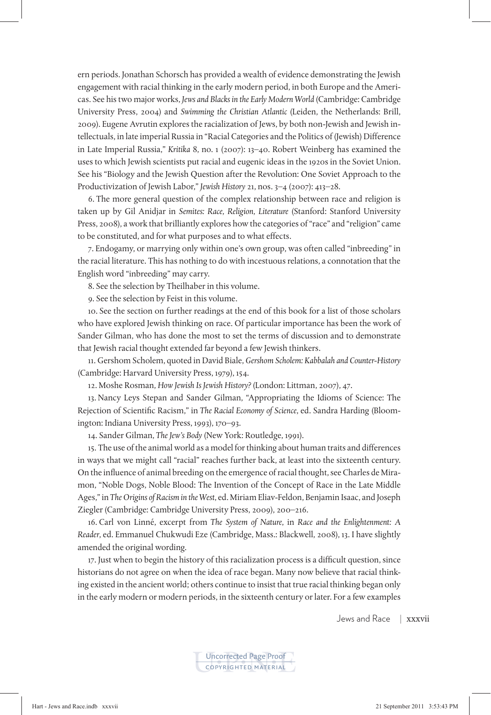ern periods. Jonathan Schorsch has provided a wealth of evidence demonstrating the Jewish engagement with racial thinking in the early modern period, in both Europe and the Americas. See his two major works, *Jews and Blacks in the Early Modern World* (Cambridge: Cambridge University Press, 2004) and *Swimming the Christian Atlantic* (Leiden, the Netherlands: Brill, 2009). Eugene Avrutin explores the racialization of Jews, by both non-Jewish and Jewish intellectuals, in late imperial Russia in "Racial Categories and the Politics of (Jewish) Difference in Late Imperial Russia," *Kritika* 8, no. 1 (2007): 13–40. Robert Weinberg has examined the uses to which Jewish scientists put racial and eugenic ideas in the 1920s in the Soviet Union. See his "Biology and the Jewish Question after the Revolution: One Soviet Approach to the Productivization of Jewish Labor," *Jewish History* 21, nos. 3–4 (2007): 413–28.

6. The more general question of the complex relationship between race and religion is taken up by Gil Anidjar in *Semites: Race, Religion, Literature* (Stanford: Stanford University Press, 2008), a work that brilliantly explores how the categories of "race" and "religion" came to be constituted, and for what purposes and to what effects.

7. Endogamy, or marrying only within one's own group, was often called "inbreeding" in the racial literature. This has nothing to do with incestuous relations, a connotation that the English word "inbreeding" may carry.

8. See the selection by Theilhaber in this volume.

9. See the selection by Feist in this volume.

10. See the section on further readings at the end of this book for a list of those scholars who have explored Jewish thinking on race. Of particular importance has been the work of Sander Gilman, who has done the most to set the terms of discussion and to demonstrate that Jewish racial thought extended far beyond a few Jewish thinkers.

11. Gershom Scholem, quoted in David Biale, *Gershom Scholem: Kabbalah and Counter-History* (Cambridge: Harvard University Press, 1979), 154.

12. Moshe Rosman, *How Jewish Is Jewish History?* (London: Littman, 2007), 47.

13. Nancy Leys Stepan and Sander Gilman, "Appropriating the Idioms of Science: The Rejection of Scientific Racism," in *The Racial Economy of Science*, ed. Sandra Harding (Bloomington: Indiana University Press, 1993), 170–93.

14. Sander Gilman, *The Jew's Body* (New York: Routledge, 1991).

15. The use of the animal world as a model for thinking about human traits and differences in ways that we might call "racial" reaches further back, at least into the sixteenth century. On the influence of animal breeding on the emergence of racial thought, see Charles de Miramon, "Noble Dogs, Noble Blood: The Invention of the Concept of Race in the Late Middle Ages," in *The Origins of Racism in the West*, ed. Miriam Eliav-Feldon, Benjamin Isaac, and Joseph Ziegler (Cambridge: Cambridge University Press, 2009), 200–216.

16. Carl von Linné, excerpt from *The System of Nature*, in *Race and the Enlightenment: A Reader*, ed. Emmanuel Chukwudi Eze (Cambridge, Mass.: Blackwell, 2008), 13. I have slightly amended the original wording.

17. Just when to begin the history of this racialization process is a difficult question, since historians do not agree on when the idea of race began. Many now believe that racial thinking existed in the ancient world; others continue to insist that true racial thinking began only in the early modern or modern periods, in the sixteenth century or later. For a few examples

Jews and Race | xxxvii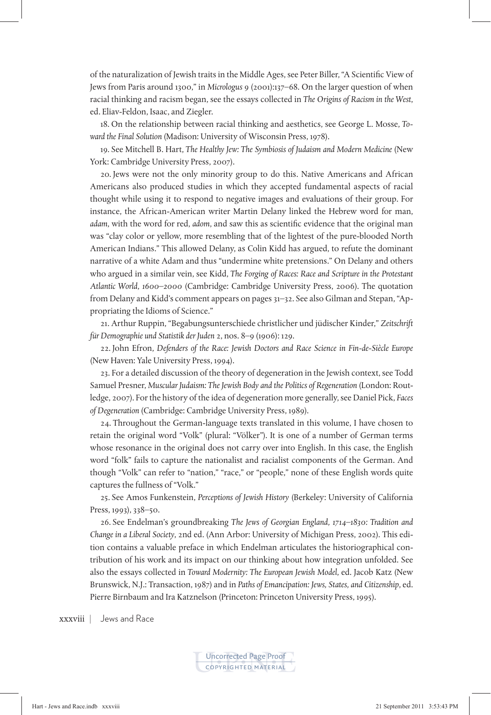of the naturalization of Jewish traits in the Middle Ages, see Peter Biller, "A Scientific View of Jews from Paris around 1300," in *Micrologus* 9 (2001):137–68. On the larger question of when racial thinking and racism began, see the essays collected in *The Origins of Racism in the West*, ed. Eliav-Feldon, Isaac, and Ziegler.

18. On the relationship between racial thinking and aesthetics, see George L. Mosse, *Toward the Final Solution* (Madison: University of Wisconsin Press, 1978).

19. See Mitchell B. Hart, *The Healthy Jew: The Symbiosis of Judaism and Modern Medicine* (New York: Cambridge University Press, 2007).

20. Jews were not the only minority group to do this. Native Americans and African Americans also produced studies in which they accepted fundamental aspects of racial thought while using it to respond to negative images and evaluations of their group. For instance, the African-American writer Martin Delany linked the Hebrew word for man, *adam*, with the word for red, *adom*, and saw this as scientific evidence that the original man was "clay color or yellow, more resembling that of the lightest of the pure-blooded North American Indians." This allowed Delany, as Colin Kidd has argued, to refute the dominant narrative of a white Adam and thus "undermine white pretensions." On Delany and others who argued in a similar vein, see Kidd, *The Forging of Races: Race and Scripture in the Protestant Atlantic World, 1600–2000* (Cambridge: Cambridge University Press, 2006). The quotation from Delany and Kidd's comment appears on pages 31–32. See also Gilman and Stepan, "Appropriating the Idioms of Science."

21. Arthur Ruppin, "Begabungsunterschiede christlicher und jüdischer Kinder," *Zeitschrift für Demographie und Statistik der Juden* 2, nos. 8–9 (1906): 129.

22. John Efron, *Defenders of the Race: Jewish Doctors and Race Science in Fin-de-Siècle Europe* (New Haven: Yale University Press, 1994).

23. For a detailed discussion of the theory of degeneration in the Jewish context, see Todd Samuel Presner, *Muscular Judaism: The Jewish Body and the Politics of Regeneration* (London: Routledge, 2007). For the history of the idea of degeneration more generally, see Daniel Pick, *Faces of Degeneration* (Cambridge: Cambridge University Press, 1989).

24. Throughout the German-language texts translated in this volume, I have chosen to retain the original word "Volk" (plural: "Völker"). It is one of a number of German terms whose resonance in the original does not carry over into English. In this case, the English word "folk" fails to capture the nationalist and racialist components of the German. And though "Volk" can refer to "nation," "race," or "people," none of these English words quite captures the fullness of "Volk."

25. See Amos Funkenstein, *Perceptions of Jewish History* (Berkeley: University of California Press, 1993), 338–50.

26. See Endelman's groundbreaking *The Jews of Georgian England, 1714–1830: Tradition and Change in a Liberal Society*, 2nd ed. (Ann Arbor: University of Michigan Press, 2002). This edition contains a valuable preface in which Endelman articulates the historiographical contribution of his work and its impact on our thinking about how integration unfolded. See also the essays collected in *Toward Modernity: The European Jewish Model*, ed. Jacob Katz (New Brunswick, N.J.: Transaction, 1987) and in *Paths of Emancipation: Jews, States, and Citizenship*, ed. Pierre Birnbaum and Ira Katznelson (Princeton: Princeton University Press, 1995).

xxxviii | Jews and Race